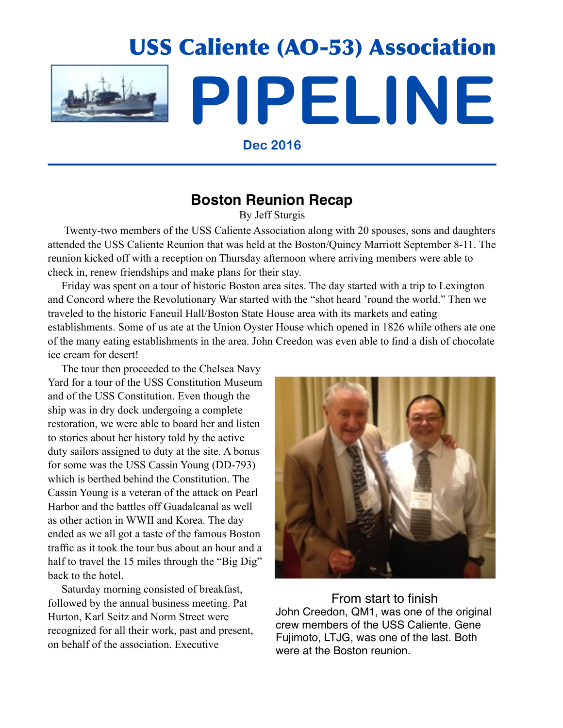

USS Caliente (AO-53) Association **PIPELINE**

**Dec 2016**

### **Boston Reunion Recap**

By Jeff Sturgis

 Twenty-two members of the USS Caliente Association along with 20 spouses, sons and daughters attended the USS Caliente Reunion that was held at the Boston/Quincy Marriott September 8-11. The reunion kicked off with a reception on Thursday afternoon where arriving members were able to check in, renew friendships and make plans for their stay.

 Friday was spent on a tour of historic Boston area sites. The day started with a trip to Lexington and Concord where the Revolutionary War started with the "shot heard 'round the world." Then we traveled to the historic Faneuil Hall/Boston State House area with its markets and eating establishments. Some of us ate at the Union Oyster House which opened in 1826 while others ate one of the many eating establishments in the area. John Creedon was even able to find a dish of chocolate ice cream for desert!

 The tour then proceeded to the Chelsea Navy Yard for a tour of the USS Constitution Museum and of the USS Constitution. Even though the ship was in dry dock undergoing a complete restoration, we were able to board her and listen to stories about her history told by the active duty sailors assigned to duty at the site. A bonus for some was the USS Cassin Young (DD-793) which is berthed behind the Constitution. The Cassin Young is a veteran of the attack on Pearl Harbor and the battles off Guadalcanal as well as other action in WWII and Korea. The day ended as we all got a taste of the famous Boston traffic as it took the tour bus about an hour and a half to travel the 15 miles through the "Big Dig" back to the hotel.

 Saturday morning consisted of breakfast, followed by the annual business meeting. Pat Hurton, Karl Seitz and Norm Street were recognized for all their work, past and present, on behalf of the association. Executive



From start to finish John Creedon, QM1, was one of the original crew members of the USS Caliente. Gene Fujimoto, LTJG, was one of the last. Both were at the Boston reunion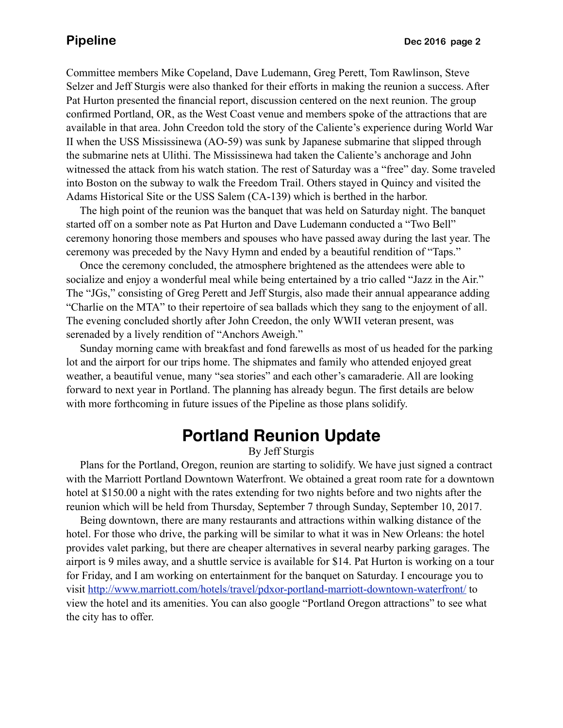Committee members Mike Copeland, Dave Ludemann, Greg Perett, Tom Rawlinson, Steve Selzer and Jeff Sturgis were also thanked for their efforts in making the reunion a success. After Pat Hurton presented the financial report, discussion centered on the next reunion. The group confirmed Portland, OR, as the West Coast venue and members spoke of the attractions that are available in that area. John Creedon told the story of the Caliente's experience during World War II when the USS Mississinewa (AO-59) was sunk by Japanese submarine that slipped through the submarine nets at Ulithi. The Mississinewa had taken the Caliente's anchorage and John witnessed the attack from his watch station. The rest of Saturday was a "free" day. Some traveled into Boston on the subway to walk the Freedom Trail. Others stayed in Quincy and visited the Adams Historical Site or the USS Salem (CA-139) which is berthed in the harbor.

 The high point of the reunion was the banquet that was held on Saturday night. The banquet started off on a somber note as Pat Hurton and Dave Ludemann conducted a "Two Bell" ceremony honoring those members and spouses who have passed away during the last year. The ceremony was preceded by the Navy Hymn and ended by a beautiful rendition of "Taps."

 Once the ceremony concluded, the atmosphere brightened as the attendees were able to socialize and enjoy a wonderful meal while being entertained by a trio called "Jazz in the Air." The "JGs," consisting of Greg Perett and Jeff Sturgis, also made their annual appearance adding "Charlie on the MTA" to their repertoire of sea ballads which they sang to the enjoyment of all. The evening concluded shortly after John Creedon, the only WWII veteran present, was serenaded by a lively rendition of "Anchors Aweigh."

 Sunday morning came with breakfast and fond farewells as most of us headed for the parking lot and the airport for our trips home. The shipmates and family who attended enjoyed great weather, a beautiful venue, many "sea stories" and each other's camaraderie. All are looking forward to next year in Portland. The planning has already begun. The first details are below with more forthcoming in future issues of the Pipeline as those plans solidify.

# **Portland Reunion Update**

By Jeff Sturgis

 Plans for the Portland, Oregon, reunion are starting to solidify. We have just signed a contract with the Marriott Portland Downtown Waterfront. We obtained a great room rate for a downtown hotel at \$150.00 a night with the rates extending for two nights before and two nights after the reunion which will be held from Thursday, September 7 through Sunday, September 10, 2017.

 Being downtown, there are many restaurants and attractions within walking distance of the hotel. For those who drive, the parking will be similar to what it was in New Orleans: the hotel provides valet parking, but there are cheaper alternatives in several nearby parking garages. The airport is 9 miles away, and a shuttle service is available for \$14. Pat Hurton is working on a tour for Friday, and I am working on entertainment for the banquet on Saturday. I encourage you to visit<http://www.marriott.com/hotels/travel/pdxor-portland-marriott-downtown-waterfront/>to view the hotel and its amenities. You can also google "Portland Oregon attractions" to see what the city has to offer.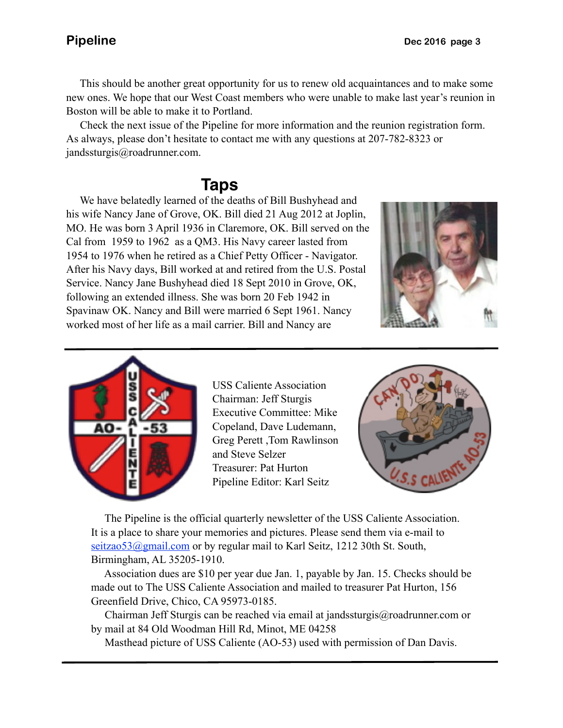This should be another great opportunity for us to renew old acquaintances and to make some new ones. We hope that our West Coast members who were unable to make last year's reunion in Boston will be able to make it to Portland.

 $\overline{\phantom{a}}$  Check the next issue of the Pipeline for more information and the reunion registration form. As always, please don't hesitate to contact me with any questions at 207-782-8323 or jandssturgis@roadrunner.com.

## **Taps**

 We have belatedly learned of the deaths of Bill Bushyhead and his wife Nancy Jane of Grove, OK. Bill died 21 Aug 2012 at Joplin, MO. He was born 3 April 1936 in Claremore, OK. Bill served on the Cal from 1959 to 1962 as a QM3. His Navy career lasted from 1954 to 1976 when he retired as a Chief Petty Officer - Navigator. After his Navy days, Bill worked at and retired from the U.S. Postal Service. Nancy Jane Bushyhead died 18 Sept 2010 in Grove, OK, following an extended illness. She was born 20 Feb 1942 in Spavinaw OK. Nancy and Bill were married 6 Sept 1961. Nancy worked most of her life as a mail carrier. Bill and Nancy are





USS Caliente Association Chairman: Jeff Sturgis Executive Committee: Mike Copeland, Dave Ludemann, Greg Perett ,Tom Rawlinson and Steve Selzer Treasurer: Pat Hurton Pipeline Editor: Karl Seitz



 The Pipeline is the official quarterly newsletter of the USS Caliente Association. It is a place to share your memories and pictures. Please send them via e-mail to seitzao53@gmail.com or by regular mail to Karl Seitz, 1212 30th St. South, Birmingham, AL 35205-1910.

 Association dues are \$10 per year due Jan. 1, payable by Jan. 15. Checks should be made out to The USS Caliente Association and mailed to treasurer Pat Hurton, 156 Greenfield Drive, Chico, CA 95973-0185.

 Chairman Jeff Sturgis can be reached via email at jandssturgis@roadrunner.com or by mail at 84 Old Woodman Hill Rd, Minot, ME 04258

Masthead picture of USS Caliente (AO-53) used with permission of Dan Davis.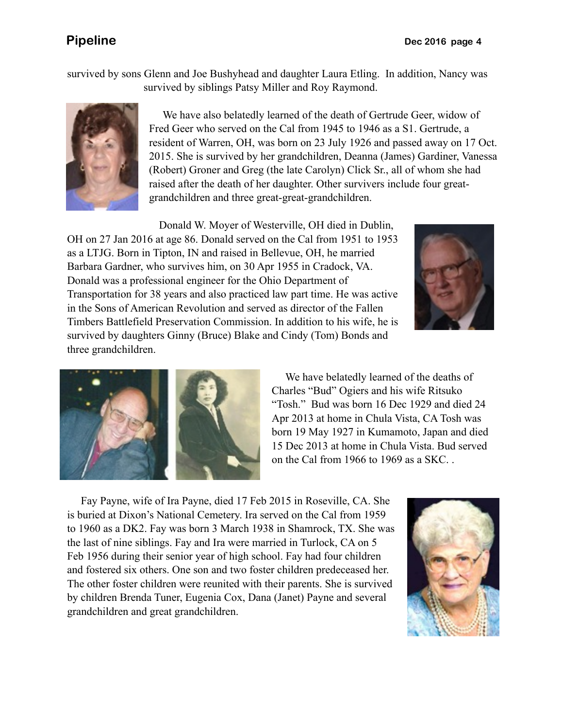survived by sons Glenn and Joe Bushyhead and daughter Laura Etling. In addition, Nancy was survived by siblings Patsy Miller and Roy Raymond.



 We have also belatedly learned of the death of Gertrude Geer, widow of Fred Geer who served on the Cal from 1945 to 1946 as a S1. Gertrude, a resident of Warren, OH, was born on 23 July 1926 and passed away on 17 Oct. 2015. She is survived by her grandchildren, Deanna (James) Gardiner, Vanessa (Robert) Groner and Greg (the late Carolyn) Click Sr., all of whom she had raised after the death of her daughter. Other survivers include four greatgrandchildren and three great-great-grandchildren.

 Donald W. Moyer of Westerville, OH died in Dublin, OH on 27 Jan 2016 at age 86. Donald served on the Cal from 1951 to 1953 as a LTJG. Born in Tipton, IN and raised in Bellevue, OH, he married Barbara Gardner, who survives him, on 30 Apr 1955 in Cradock, VA. Donald was a professional engineer for the Ohio Department of Transportation for 38 years and also practiced law part time. He was active in the Sons of American Revolution and served as director of the Fallen Timbers Battlefield Preservation Commission. In addition to his wife, he is survived by daughters Ginny (Bruce) Blake and Cindy (Tom) Bonds and three grandchildren.





 We have belatedly learned of the deaths of Charles "Bud" Ogiers and his wife Ritsuko "Tosh." Bud was born 16 Dec 1929 and died 24 Apr 2013 at home in Chula Vista, CA Tosh was born 19 May 1927 in Kumamoto, Japan and died 15 Dec 2013 at home in Chula Vista. Bud served on the Cal from 1966 to 1969 as a SKC. .

 Fay Payne, wife of Ira Payne, died 17 Feb 2015 in Roseville, CA. She is buried at Dixon's National Cemetery. Ira served on the Cal from 1959 to 1960 as a DK2. Fay was born 3 March 1938 in Shamrock, TX. She was the last of nine siblings. Fay and Ira were married in Turlock, CA on 5 Feb 1956 during their senior year of high school. Fay had four children and fostered six others. One son and two foster children predeceased her. The other foster children were reunited with their parents. She is survived by children Brenda Tuner, Eugenia Cox, Dana (Janet) Payne and several grandchildren and great grandchildren.

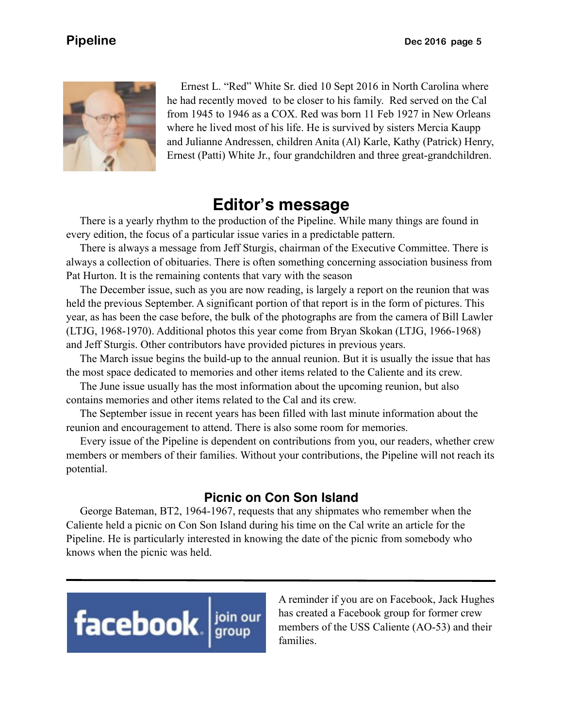

 Ernest L. "Red" White Sr. died 10 Sept 2016 in North Carolina where he had recently moved to be closer to his family. Red served on the Cal from 1945 to 1946 as a COX. Red was born 11 Feb 1927 in New Orleans where he lived most of his life. He is survived by sisters Mercia Kaupp and Julianne Andressen, children Anita (Al) Karle, Kathy (Patrick) Henry, Ernest (Patti) White Jr., four grandchildren and three great-grandchildren.

## **Editor's message**

 There is a yearly rhythm to the production of the Pipeline. While many things are found in every edition, the focus of a particular issue varies in a predictable pattern.

 There is always a message from Jeff Sturgis, chairman of the Executive Committee. There is always a collection of obituaries. There is often something concerning association business from Pat Hurton. It is the remaining contents that vary with the season

 The December issue, such as you are now reading, is largely a report on the reunion that was held the previous September. A significant portion of that report is in the form of pictures. This year, as has been the case before, the bulk of the photographs are from the camera of Bill Lawler (LTJG, 1968-1970). Additional photos this year come from Bryan Skokan (LTJG, 1966-1968) and Jeff Sturgis. Other contributors have provided pictures in previous years.

 The March issue begins the build-up to the annual reunion. But it is usually the issue that has the most space dedicated to memories and other items related to the Caliente and its crew.

 The June issue usually has the most information about the upcoming reunion, but also contains memories and other items related to the Cal and its crew.

 The September issue in recent years has been filled with last minute information about the reunion and encouragement to attend. There is also some room for memories.

 Every issue of the Pipeline is dependent on contributions from you, our readers, whether crew members or members of their families. Without your contributions, the Pipeline will not reach its potential.

### **Picnic on Con Son Island**

 George Bateman, BT2, 1964-1967, requests that any shipmates who remember when the Caliente held a picnic on Con Son Island during his time on the Cal write an article for the Pipeline. He is particularly interested in knowing the date of the picnic from somebody who knows when the picnic was held.



A reminder if you are on Facebook, Jack Hughes has created a Facebook group for former crew members of the USS Caliente (AO-53) and their families.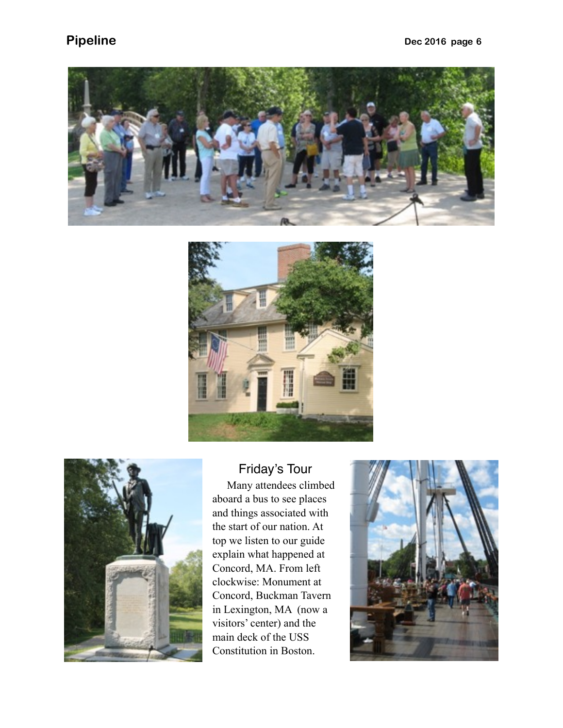





### Friday's Tour

 Many attendees climbed aboard a bus to see places and things associated with the start of our nation. At top we listen to our guide explain what happened at Concord, MA. From left clockwise: Monument at Concord, Buckman Tavern in Lexington, MA (now a visitors' center) and the main deck of the USS Constitution in Boston.

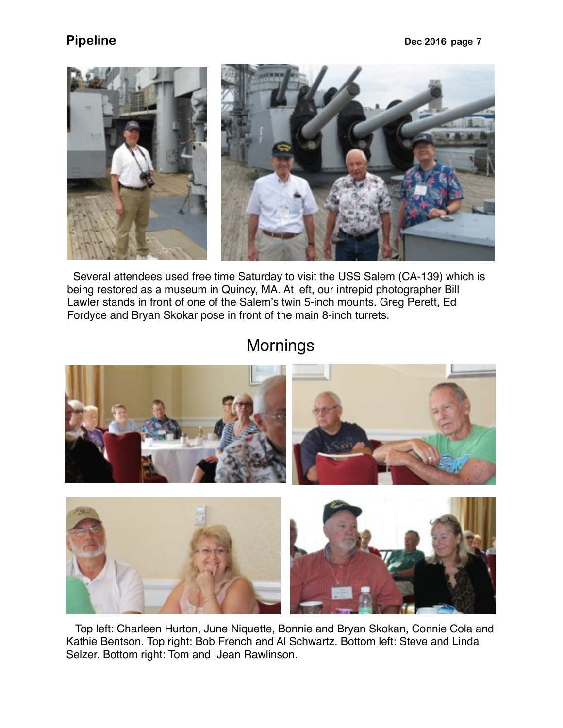

 Several attendees used free time Saturday to visit the USS Salem (CA-139) which is being restored as a museum in Quincy, MA. At left, our intrepid photographer Bill Lawler stands in front of one of the Salem's twin 5-inch mounts. Greg Perett, Ed Fordyce and Bryan Skokar pose in front of the main 8-inch turrets.

# **Mornings**



 Top left: Charleen Hurton, June Niquette, Bonnie and Bryan Skokan, Connie Cola and Kathie Bentson. Top right: Bob French and Al Schwartz. Bottom left: Steve and Linda Selzer. Bottom right: Tom and Jean Rawlinson.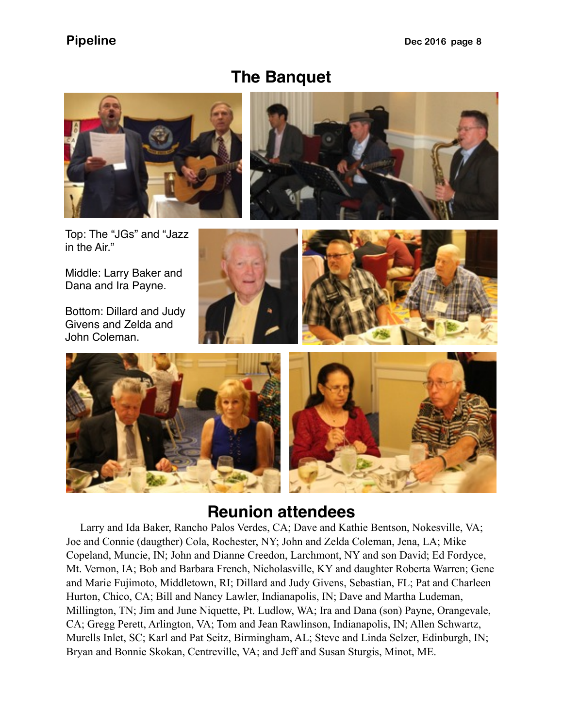## **The Banquet**





Top: The "JGs" and "Jazz in the Air."

Middle: Larry Baker and Dana and Ira Payne.

Bottom: Dillard and Judy Givens and Zelda and John Coleman.







# **Reunion attendees**

 Larry and Ida Baker, Rancho Palos Verdes, CA; Dave and Kathie Bentson, Nokesville, VA; Joe and Connie (daugther) Cola, Rochester, NY; John and Zelda Coleman, Jena, LA; Mike Copeland, Muncie, IN; John and Dianne Creedon, Larchmont, NY and son David; Ed Fordyce, Mt. Vernon, IA; Bob and Barbara French, Nicholasville, KY and daughter Roberta Warren; Gene and Marie Fujimoto, Middletown, RI; Dillard and Judy Givens, Sebastian, FL; Pat and Charleen Hurton, Chico, CA; Bill and Nancy Lawler, Indianapolis, IN; Dave and Martha Ludeman, Millington, TN; Jim and June Niquette, Pt. Ludlow, WA; Ira and Dana (son) Payne, Orangevale, CA; Gregg Perett, Arlington, VA; Tom and Jean Rawlinson, Indianapolis, IN; Allen Schwartz, Murells Inlet, SC; Karl and Pat Seitz, Birmingham, AL; Steve and Linda Selzer, Edinburgh, IN; Bryan and Bonnie Skokan, Centreville, VA; and Jeff and Susan Sturgis, Minot, ME.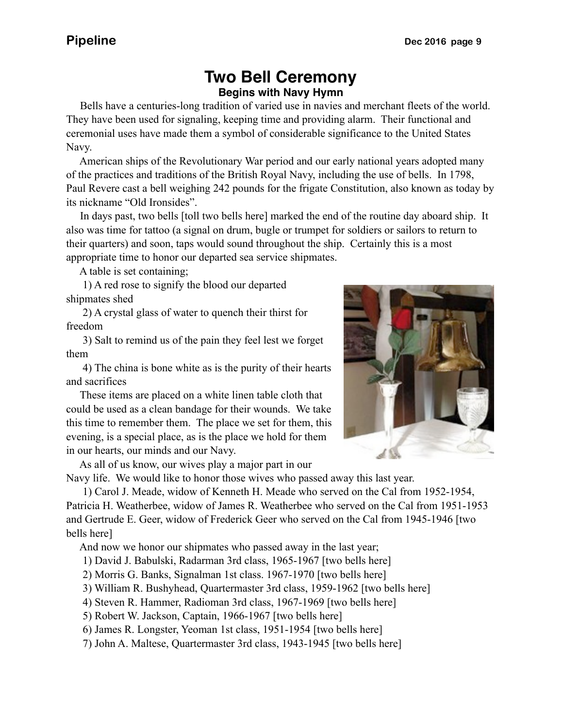## **Two Bell Ceremony Begins with Navy Hymn**

 Bells have a centuries-long tradition of varied use in navies and merchant fleets of the world. They have been used for signaling, keeping time and providing alarm. Their functional and ceremonial uses have made them a symbol of considerable significance to the United States Navy.

 American ships of the Revolutionary War period and our early national years adopted many of the practices and traditions of the British Royal Navy, including the use of bells. In 1798, Paul Revere cast a bell weighing 242 pounds for the frigate Constitution, also known as today by its nickname "Old Ironsides".

 In days past, two bells [toll two bells here] marked the end of the routine day aboard ship. It also was time for tattoo (a signal on drum, bugle or trumpet for soldiers or sailors to return to their quarters) and soon, taps would sound throughout the ship. Certainly this is a most appropriate time to honor our departed sea service shipmates.

A table is set containing;

 1) A red rose to signify the blood our departed shipmates shed

 2) A crystal glass of water to quench their thirst for freedom

 3) Salt to remind us of the pain they feel lest we forget them

 4) The china is bone white as is the purity of their hearts and sacrifices

 These items are placed on a white linen table cloth that could be used as a clean bandage for their wounds. We take this time to remember them. The place we set for them, this evening, is a special place, as is the place we hold for them in our hearts, our minds and our Navy.

As all of us know, our wives play a major part in our

Navy life. We would like to honor those wives who passed away this last year.

 1) Carol J. Meade, widow of Kenneth H. Meade who served on the Cal from 1952-1954, Patricia H. Weatherbee, widow of James R. Weatherbee who served on the Cal from 1951-1953 and Gertrude E. Geer, widow of Frederick Geer who served on the Cal from 1945-1946 [two bells here]

And now we honor our shipmates who passed away in the last year;

1) David J. Babulski, Radarman 3rd class, 1965-1967 [two bells here]

2) Morris G. Banks, Signalman 1st class. 1967-1970 [two bells here]

3) William R. Bushyhead, Quartermaster 3rd class, 1959-1962 [two bells here]

4) Steven R. Hammer, Radioman 3rd class, 1967-1969 [two bells here]

5) Robert W. Jackson, Captain, 1966-1967 [two bells here]

6) James R. Longster, Yeoman 1st class, 1951-1954 [two bells here]

7) John A. Maltese, Quartermaster 3rd class, 1943-1945 [two bells here]